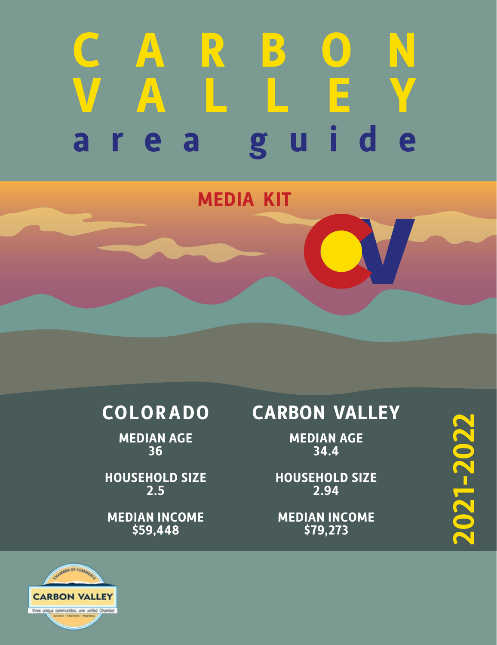# **C A R B O N [VALLEY](http://www.carbonvalleyareaguide.com) area guide**

## **MEDIA KIT**

# **COLORADO**

**MEDIAN AGE 36**

**HOUSEHOLD SIZE 2.5**

**MEDIAN INCOME \$59,448**

# **CARBON VALLEY**

**MEDIAN AGE 34.4**

**HOUSEHOLD SIZE 2.94**

**MEDIAN INCOME \$79,273**

**2021-2022** 2021-2022

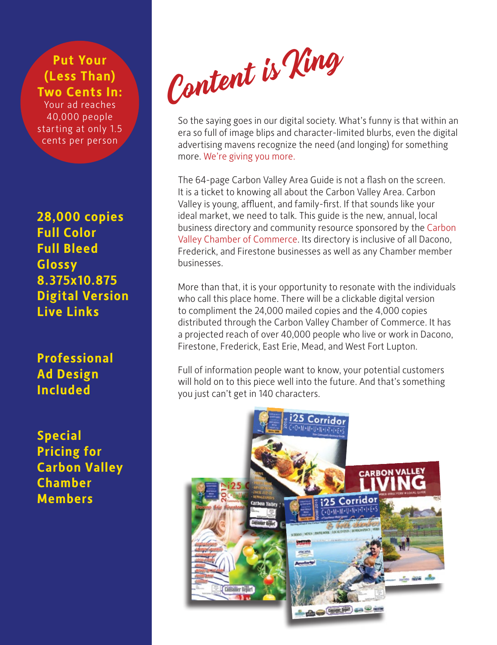**Put Your (Less Than) Two Cents In:** Your ad reaches 40,000 people

starting at only 1.5 cents per person

**28,000 copies Full Color Full Bleed Glossy 8.375x10.875 Digital Version Live Links**

**Professional Ad Design Included**

**Special Pricing for Carbon Valley Chamber Members**

Content is King

So the saying goes in our digital society. What's funny is that within an era so full of image blips and character-limited blurbs, even the digital advertising mavens recognize the need (and longing) for something more. We're giving you more.

The 64-page Carbon Valley Area Guide is not a flash on the screen. It is a ticket to knowing all about the Carbon Valley Area. Carbon Valley is young, affluent, and family-first. If that sounds like your ideal market, we need to talk. This guide is the new, annual, local business directory and community resource sponsored by the [Carbon](http://carbonvalleychamber.com)  [Valley Chamber of Commerce](http://carbonvalleychamber.com). Its directory is inclusive of all Dacono, Frederick, and Firestone businesses as well as any Chamber member businesses.

More than that, it is your opportunity to resonate with the individuals who call this place home. There will be a clickable digital version to compliment the 24,000 mailed copies and the 4,000 copies distributed through the Carbon Valley Chamber of Commerce. It has a projected reach of over 40,000 people who live or work in Dacono, Firestone, Frederick, East Erie, Mead, and West Fort Lupton.

Full of information people want to know, your potential customers will hold on to this piece well into the future. And that's something you just can't get in 140 characters.

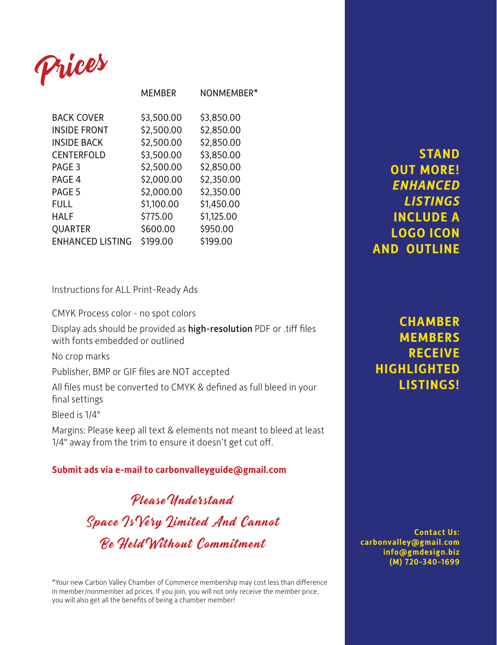

|                         | <b>MEMBER</b> | NONMEMBER* |
|-------------------------|---------------|------------|
| <b>BACK COVER</b>       | \$3,500.00    | \$3,850.00 |
| <b>INSIDE FRONT</b>     | \$2,500.00    | \$2,850.00 |
| <b>INSIDE BACK</b>      | \$2,500.00    | \$2,850.00 |
| <b>CENTERFOLD</b>       | \$3,500.00    | \$3,850.00 |
| PAGE 3                  | \$2,500.00    | \$2,850.00 |
| PAGE 4                  | \$2,000.00    | \$2,350.00 |
| PAGE 5                  | \$2,000.00    | \$2,350.00 |
| <b>FULL</b>             | \$1,100.00    | \$1,450.00 |
| <b>HALF</b>             | \$775.00      | \$1,125.00 |
| <b>QUARTER</b>          | \$600.00      | \$950.00   |
| <b>ENHANCED LISTING</b> | \$199.00      | \$199.00   |

Instructions for ALL Print-Ready Ads

CMYK Process color - no spot colors

Display ads should be provided as high-resolution PDF or .tiff files with fonts embedded or outlined

No crop marks

Publisher, BMP or GIF files are NOT accepted

All files must be converted to CMYK & defined as full bleed in your final settings

Bleed is 1/4"

Margins: Please keep all text & elements not meant to bleed at least 1/4" away from the trim to ensure it doesn't get cut off.

#### **Submit ads via e-mail to [carbonvalleyguide@gmail.com](mailto:carbonvalleyguide%40gmail.com?subject=inquiry%20via%20chamber%20guide%20media%20kit)**

Please Understand Space Is Very Limited And Cannot Be Held Without Commitment

\*Your new Carbon Valley Chamber of Commerce membership may cost less than difference in member/nonmember ad prices. If you join, you will not only receive the member price, you will also get all the benefits of being a chamber member!

**STAND OUT MORE!** *ENHANCED LISTINGS* **INCLUDE A LOGO ICON AND OUTLINE**

### **CHAMBER MEMBERS RECEIVE HIGHLIGHTED LISTINGS!**

**Contact Us: [carbonvalley@gmail.com](mailto:carbonvalley%40gmail.com%20?subject=inquiry%20via%20chamber%20guide%20media%20kit) [info@gmdesign.biz](mailto:info%40gmdesign.biz%20?subject=inquiry%20via%20chamber%20guide%20media%20kit) [\(M\) 720-340-1699](tel:7203401699)**